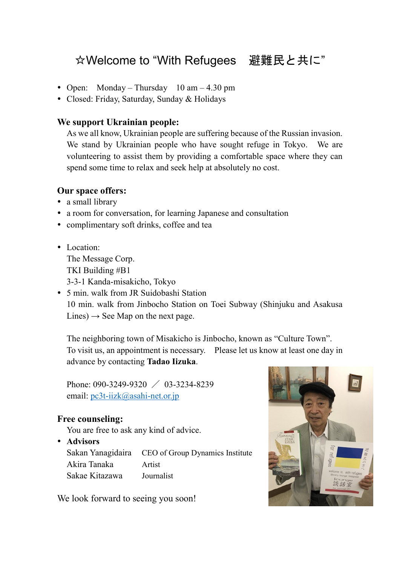## ☆Welcome to "With Refugees 避難民と共に"

- Open: Monday Thursday  $10 \text{ am} 4.30 \text{ pm}$
- Closed: Friday, Saturday, Sunday & Holidays

## **We support Ukrainian people:**

As we all know, Ukrainian people are suffering because of the Russian invasion. We stand by Ukrainian people who have sought refuge in Tokyo. We are volunteering to assist them by providing a comfortable space where they can spend some time to relax and seek help at absolutely no cost.

## **Our space offers:**

- a small library
- a room for conversation, for learning Japanese and consultation
- complimentary soft drinks, coffee and tea
- Location: The Message Corp. TKI Building #B1 3-3-1 Kanda-misakicho, Tokyo
- 5 min. walk from JR Suidobashi Station 10 min. walk from Jinbocho Station on Toei Subway (Shinjuku and Asakusa Lines)  $\rightarrow$  See Map on the next page.

The neighboring town of Misakicho is Jinbocho, known as "Culture Town". To visit us, an appointment is necessary. Please let us know at least one day in advance by contacting **Tadao Iizuka**.

Phone: 090-3249-9320 / 03-3234-8239 email: [pc3t-iizk@asahi-net.or.jp](mailto:pc3t-iizk@asahi-net.or.jp)

## **Free counseling:**

You are free to ask any kind of advice.

**Advisors**

|                | Sakan Yanagidaira CEO of Group Dynamics Institute |
|----------------|---------------------------------------------------|
| Akira Tanaka   | Artist                                            |
| Sakae Kitazawa | Journalist                                        |

We look forward to seeing you soon!